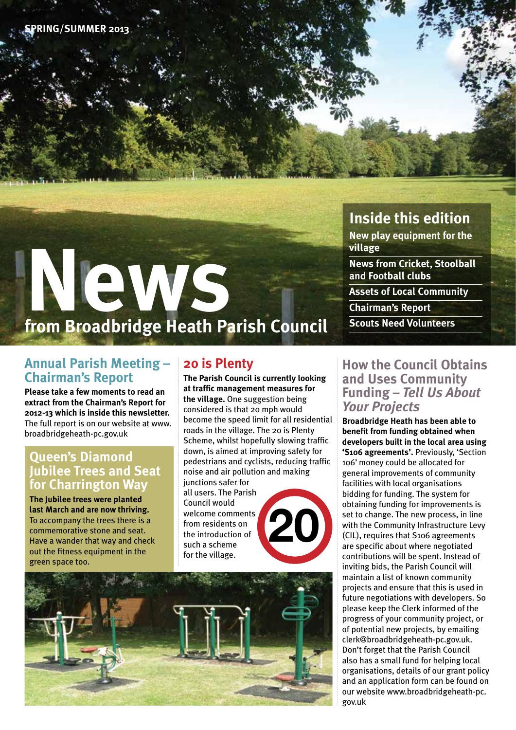# **News from Broadbridge Heath Parish Council**

## **Annual Parish Meeting – Chairman's Report**

**Please take a few moments to read an extract from the Chairman's Report for 2012-13 which is inside this newsletter.**  The full report is on our website at www. broadbridgeheath-pc.gov.uk

### **Queen's Diamond Jubilee Trees and Seat for Charrington Way**

**The Jubilee trees were planted last March and are now thriving.**  To accompany the trees there is a commemorative stone and seat. Have a wander that way and check out the fitness equipment in the green space too.

## **20 is Plenty**

**The Parish Council is currently looking at traffic management measures for the village.** One suggestion being considered is that 20 mph would become the speed limit for all residential roads in the village. The 20 is Plenty Scheme, whilst hopefully slowing traffic down, is aimed at improving safety for pedestrians and cyclists, reducing traffic noise and air pollution and making junctions safer for all users. The Parish Council would welcome comments from residents on the introduction of such a scheme for the village. **20**



## **Inside this edition**

**New play equipment for the village News from Cricket, Stoolball and Football clubs**

**Assets of Local Community**

**Chairman's Report**

**Scouts Need Volunteers**

### **How the Council Obtains and Uses Community Funding –** *Tell Us About Your Projects*

**Broadbridge Heath has been able to benefit from funding obtained when developers built in the local area using 'S106 agreements'.** Previously, 'Section 106' money could be allocated for general improvements of community facilities with local organisations bidding for funding. The system for obtaining funding for improvements is set to change. The new process, in line with the Community Infrastructure Levy (CIL), requires that S106 agreements are specific about where negotiated contributions will be spent. Instead of inviting bids, the Parish Council will maintain a list of known community projects and ensure that this is used in future negotiations with developers. So please keep the Clerk informed of the progress of your community project, or of potential new projects, by emailing clerk@broadbridgeheath-pc.gov.uk. Don't forget that the Parish Council also has a small fund for helping local organisations, details of our grant policy and an application form can be found on our website www.broadbridgeheath-pc. gov.uk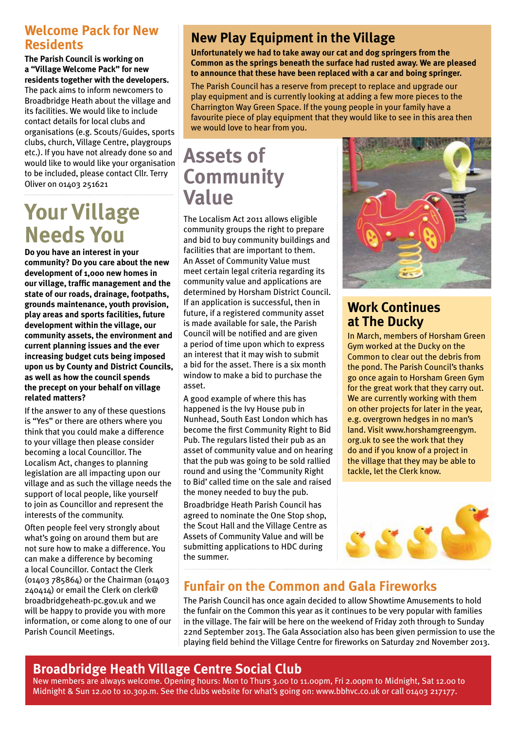## **Welcome Pack for New Residents**

#### **The Parish Council is working on a "Village Welcome Pack" for new residents together with the developers.**

The pack aims to inform newcomers to Broadbridge Heath about the village and its facilities. We would like to include contact details for local clubs and organisations (e.g. Scouts/Guides, sports clubs, church, Village Centre, playgroups etc.). If you have not already done so and would like to would like your organisation to be included, please contact Cllr. Terry Oliver on 01403 251621

# **Your Village Needs You**

**Do you have an interest in your community? Do you care about the new development of 1,000 new homes in our village, traffic management and the state of our roads, drainage, footpaths, grounds maintenance, youth provision, play areas and sports facilities, future development within the village, our community assets, the environment and current planning issues and the ever increasing budget cuts being imposed upon us by County and District Councils, as well as how the council spends the precept on your behalf on village related matters?**

If the answer to any of these questions is "Yes" or there are others where you think that you could make a difference to your village then please consider becoming a local Councillor. The Localism Act, changes to planning legislation are all impacting upon our village and as such the village needs the support of local people, like yourself to join as Councillor and represent the interests of the community.

Often people feel very strongly about what's going on around them but are not sure how to make a difference. You can make a difference by becoming a local Councillor. Contact the Clerk (01403 785864) or the Chairman (01403 240414) or email the Clerk on clerk@ broadbridgeheath-pc.gov.uk and we will be happy to provide you with more information, or come along to one of our Parish Council Meetings.

# **New Play Equipment in the Village**

**Unfortunately we had to take away our cat and dog springers from the Common as the springs beneath the surface had rusted away. We are pleased to announce that these have been replaced with a car and boing springer.**

The Parish Council has a reserve from precept to replace and upgrade our play equipment and is currently looking at adding a few more pieces to the Charrington Way Green Space. If the young people in your family have a favourite piece of play equipment that they would like to see in this area then we would love to hear from you.

# **Assets of Community Value**

The Localism Act 2011 allows eligible community groups the right to prepare and bid to buy community buildings and facilities that are important to them. An Asset of Community Value must meet certain legal criteria regarding its community value and applications are determined by Horsham District Council. If an application is successful, then in future, if a registered community asset is made available for sale, the Parish Council will be notified and are given a period of time upon which to express an interest that it may wish to submit a bid for the asset. There is a six month window to make a bid to purchase the asset.

A good example of where this has happened is the Ivy House pub in Nunhead, South East London which has become the first Community Right to Bid Pub. The regulars listed their pub as an asset of community value and on hearing that the pub was going to be sold rallied round and using the 'Community Right to Bid' called time on the sale and raised the money needed to buy the pub.

Broadbridge Heath Parish Council has agreed to nominate the One Stop shop, the Scout Hall and the Village Centre as Assets of Community Value and will be submitting applications to HDC during the summer.



## **Work Continues at The Ducky**

In March, members of Horsham Green Gym worked at the Ducky on the Common to clear out the debris from the pond. The Parish Council's thanks go once again to Horsham Green Gym for the great work that they carry out. We are currently working with them on other projects for later in the year, e.g. overgrown hedges in no man's land. Visit www.horshamgreengym. org.uk to see the work that they do and if you know of a project in the village that they may be able to tackle, let the Clerk know.



## **Funfair on the Common and Gala Fireworks**

The Parish Council has once again decided to allow Showtime Amusements to hold the funfair on the Common this year as it continues to be very popular with families in the village. The fair will be here on the weekend of Friday 20th through to Sunday 22nd September 2013. The Gala Association also has been given permission to use the playing field behind the Village Centre for fireworks on Saturday 2nd November 2013.

# **Broadbridge Heath Village Centre Social Club**

New members are always welcome. Opening hours: Mon to Thurs 3.00 to 11.00pm, Fri 2.00pm to Midnight, Sat 12.00 to Midnight & Sun 12.00 to 10.30p.m. See the clubs website for what's going on: www.bbhvc.co.uk or call 01403 217177.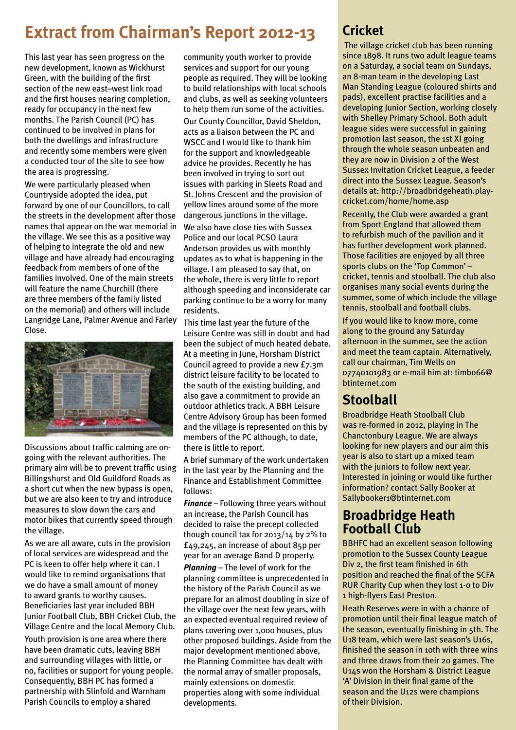# **Extract from Chairman's Report 2012-13**

This last year has seen progress on the new development, known as Wickhurst Green, with the building of the first section of the new east–west link road and the first houses nearing completion, ready for occupancy in the next few months. The Parish Council (PC) has continued to be involved in plans for both the dwellings and infrastructure and recently some members were given a conducted tour of the site to see how the area is progressing.

We were particularly pleased when Countryside adopted the idea, put forward by one of our Councillors, to call the streets in the development after those names that appear on the war memorial in the village. We see this as a positive way of helping to integrate the old and new village and have already had encouraging feedback from members of one of the families involved. One of the main streets will feature the name Churchill (there are three members of the family listed on the memorial) and others will include Langridge Lane, Palmer Avenue and Farley Close.



Discussions about traffic calming are ongoing with the relevant authorities. The primary aim will be to prevent traffic using Billingshurst and Old Guildford Roads as a short cut when the new bypass is open, but we are also keen to try and introduce measures to slow down the cars and motor bikes that currently speed through the village.

As we are all aware, cuts in the provision of local services are widespread and the PC is keen to offer help where it can. I would like to remind organisations that we do have a small amount of money to award grants to worthy causes. Beneficiaries last year included BBH Junior Football Club, BBH Cricket Club, the Village Centre and the local Memory Club.

Youth provision is one area where there have been dramatic cuts, leaving BBH and surrounding villages with little, or no, facilities or support for young people. Consequently, BBH PC has formed a partnership with Slinfold and Warnham Parish Councils to employ a shared

community youth worker to provide services and support for our young people as required. They will be looking to build relationships with local schools and clubs, as well as seeking volunteers to help them run some of the activities. Our County Councillor, David Sheldon, acts as a liaison between the PC and WSCC and I would like to thank him for the support and knowledgeable advice he provides. Recently he has been involved in trying to sort out issues with parking in Sleets Road and St. Johns Crescent and the provision of yellow lines around some of the more dangerous junctions in the village. We also have close ties with Sussex Police and our local PCSO Laura Anderson provides us with monthly updates as to what is happening in the village. I am pleased to say that, on the whole, there is very little to report although speeding and inconsiderate car parking continue to be a worry for many residents.

This time last year the future of the Leisure Centre was still in doubt and had been the subject of much heated debate. At a meeting in June, Horsham District Council agreed to provide a new £7.3m district leisure facility to be located to the south of the existing building, and also gave a commitment to provide an outdoor athletics track. A BBH Leisure Centre Advisory Group has been formed and the village is represented on this by members of the PC although, to date, there is little to report.

A brief summary of the work undertaken in the last year by the Planning and the Finance and Establishment Committee follows:

*Finance* – Following three years without an increase, the Parish Council has decided to raise the precept collected though council tax for 2013/14 by 2% to £49,245, an increase of about 85p per year for an average Band D property.

*Planning* – The level of work for the planning committee is unprecedented in the history of the Parish Council as we prepare for an almost doubling in size of the village over the next few years, with an expected eventual required review of plans covering over 1,000 houses, plus other proposed buildings. Aside from the major development mentioned above, the Planning Committee has dealt with the normal array of smaller proposals, mainly extensions on domestic properties along with some individual developments.

## **Cricket**

 The village cricket club has been running since 1898. It runs two adult league teams on a Saturday, a social team on Sundays, an 8-man team in the developing Last Man Standing League (coloured shirts and pads), excellent practise facilities and a developing Junior Section, working closely with Shelley Primary School. Both adult league sides were successful in gaining promotion last season, the 1st XI going through the whole season unbeaten and they are now in Division 2 of the West Sussex Invitation Cricket League, a feeder direct into the Sussex League. Season's details at: http://broadbridgeheath.playcricket.com/home/home.asp

Recently, the Club were awarded a grant from Sport England that allowed them to refurbish much of the pavilion and it has further development work planned. Those facilities are enjoyed by all three sports clubs on the 'Top Common' – cricket, tennis and stoolball. The club also organises many social events during the summer, some of which include the village tennis, stoolball and football clubs.

If you would like to know more, come along to the ground any Saturday afternoon in the summer, see the action and meet the team captain. Alternatively, call our chairman, Tim Wells on 07740101983 or e-mail him at: timbo66@ btinternet.com

## **Stoolball**

Broadbridge Heath Stoolball Club was re-formed in 2012, playing in The Chanctonbury League. We are always looking for new players and our aim this year is also to start up a mixed team with the juniors to follow next year. Interested in joining or would like further information? contact Sally Booker at Sallybooker1@btinternet.com

## **Broadbridge Heath Football Club**

BBHFC had an excellent season following promotion to the Sussex County League Div 2, the first team finished in 6th position and reached the final of the SCFA RUR Charity Cup when they lost 1-0 to Div 1 high-flyers East Preston.

Heath Reserves were in with a chance of promotion until their final league match of the season, eventually finishing in 5th. The U18 team, which were last season's U16s, finished the season in 10th with three wins and three draws from their 20 games. The U14s won the Horsham & District League 'A' Division in their final game of the season and the U12s were champions of their Division.